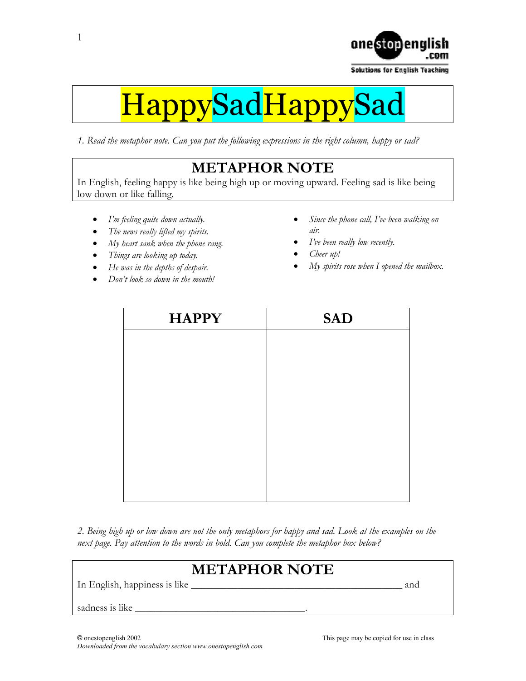

**Solutions for English Teaching** 

# HappySadHappy

*1. Read the metaphor note. Can you put the following expressions in the right column, happy or sad?* 

# **METAPHOR NOTE**

In English, feeling happy is like being high up or moving upward. Feeling sad is like being low down or like falling.

- *I'm feeling quite down actually.*
- *The news really lifted my spirits.*
- *My heart sank when the phone rang.*
- *Things are looking up today.*
- *He was in the depths of despair.*
- *Don't look so down in the mouth!*
- *Since the phone call, I've been walking on air.*
- *I've been really low recently.*
- *Cheer up!*
- *My spirits rose when I opened the mailbox.*

| <b>HAPPY</b> | <b>SAD</b> |
|--------------|------------|
|              |            |
|              |            |
|              |            |
|              |            |
|              |            |
|              |            |
|              |            |
|              |            |

*2. Being high up or low down are not the only metaphors for happy and sad. Look at the examples on the next page. Pay attention to the words in bold. Can you complete the metaphor box below?*

# **METAPHOR NOTE**

In English, happiness is like \_\_\_\_\_\_\_\_\_\_\_\_\_\_\_\_\_\_\_\_\_\_\_\_\_\_\_\_\_\_\_\_\_\_\_\_\_\_\_\_\_ and

sadness is like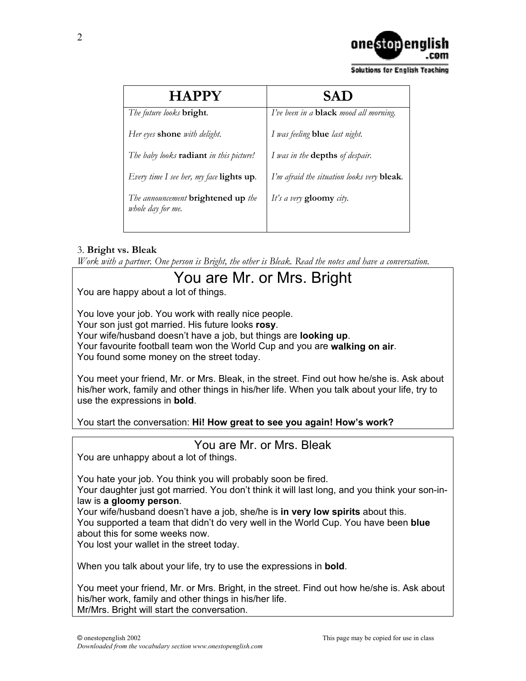

**Solutions for English Teaching** 

| <b>HAPPY</b>                                                   | <b>SAD</b>                                    |
|----------------------------------------------------------------|-----------------------------------------------|
| The future looks <b>bright</b> .                               | I've been in a <b>black</b> mood all morning. |
| Her eyes <b>shone</b> with delight.                            | I was feeling <b>blue</b> last night.         |
| The baby looks radiant in this picture!                        | I was in the <b>depths</b> of despair.        |
| Every time I see her, my face $\mathbf{lights}$ up.            | I'm afraid the situation looks very bleak.    |
| The announcement <b>brightened</b> up the<br>whole day for me. | It's a very gloomy city.                      |

## 3. **Bright vs. Bleak**

*Work with a partner. One person is Bright, the other is Bleak. Read the notes and have a conversation.* 

# You are Mr. or Mrs. Bright

You are happy about a lot of things.

You love your job. You work with really nice people. Your son just got married. His future looks **rosy**. Your wife/husband doesn't have a job, but things are **looking up**. Your favourite football team won the World Cup and you are **walking on air**. You found some money on the street today.

You meet your friend, Mr. or Mrs. Bleak, in the street. Find out how he/she is. Ask about his/her work, family and other things in his/her life. When you talk about your life, try to use the expressions in **bold**.

You start the conversation: **Hi! How great to see you again! How's work?**

## You are Mr. or Mrs. Bleak

You are unhappy about a lot of things.

You hate your job. You think you will probably soon be fired.

Your daughter just got married. You don't think it will last long, and you think your son-inlaw is **a gloomy person**.

Your wife/husband doesn't have a job, she/he is **in very low spirits** about this. You supported a team that didn't do very well in the World Cup. You have been **blue** about this for some weeks now.

You lost your wallet in the street today.

When you talk about your life, try to use the expressions in **bold**.

You meet your friend, Mr. or Mrs. Bright, in the street. Find out how he/she is. Ask about his/her work, family and other things in his/her life. Mr/Mrs. Bright will start the conversation.